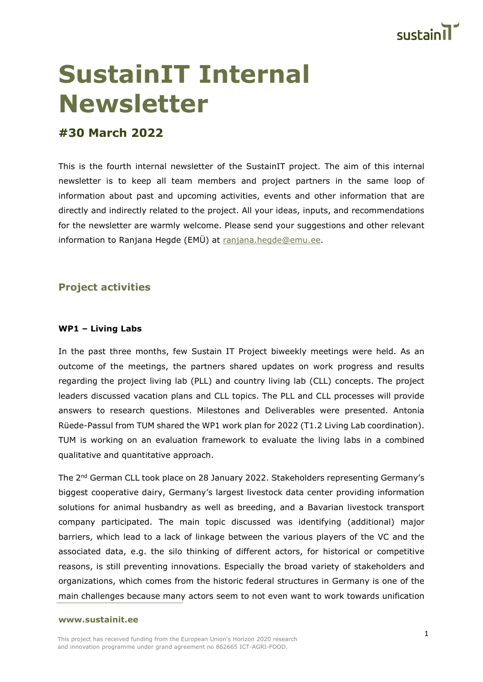

# **SustainIT Internal Newsletter**

# **#30 March 2022**

This is the fourth internal newsletter of the SustainIT project. The aim of this internal newsletter is to keep all team members and project partners in the same loop of information about past and upcoming activities, events and other information that are directly and indirectly related to the project. All your ideas, inputs, and recommendations for the newsletter are warmly welcome. Please send your suggestions and other relevant information to Ranjana Hegde (EMÜ) at [ranjana.hegde@emu.ee.](mailto:ranjana.hegde@emu.ee)

# **Project activities**

## **WP1 – Living Labs**

In the past three months, few Sustain IT Project biweekly meetings were held. As an outcome of the meetings, the partners shared updates on work progress and results regarding the project living lab (PLL) and country living lab (CLL) concepts. The project leaders discussed vacation plans and CLL topics. The PLL and CLL processes will provide answers to research questions. Milestones and Deliverables were presented. Antonia Rüede-Passul from TUM shared the WP1 work plan for 2022 (T1.2 Living Lab coordination). TUM is working on an evaluation framework to evaluate the living labs in a combined qualitative and quantitative approach.

The 2nd German CLL took place on 28 January 2022. Stakeholders representing Germany's biggest cooperative dairy, Germany's largest livestock data center providing information solutions for animal husbandry as well as breeding, and a Bavarian livestock transport company participated. The main topic discussed was identifying (additional) major barriers, which lead to a lack of linkage between the various players of the VC and the associated data, e.g. the silo thinking of different actors, for historical or competitive reasons, is still preventing innovations. Especially the broad variety of stakeholders and organizations, which comes from the historic federal structures in Germany is one of the main challenges because many actors seem to not even want to work towards unification

#### **[www.sustainit.ee](http://www.sustainit.ee/)**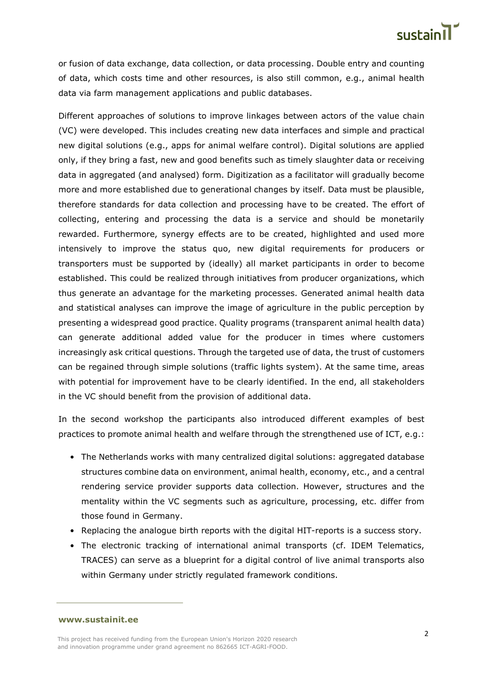

or fusion of data exchange, data collection, or data processing. Double entry and counting of data, which costs time and other resources, is also still common, e.g., animal health data via farm management applications and public databases.

Different approaches of solutions to improve linkages between actors of the value chain (VC) were developed. This includes creating new data interfaces and simple and practical new digital solutions (e.g., apps for animal welfare control). Digital solutions are applied only, if they bring a fast, new and good benefits such as timely slaughter data or receiving data in aggregated (and analysed) form. Digitization as a facilitator will gradually become more and more established due to generational changes by itself. Data must be plausible, therefore standards for data collection and processing have to be created. The effort of collecting, entering and processing the data is a service and should be monetarily rewarded. Furthermore, synergy effects are to be created, highlighted and used more intensively to improve the status quo, new digital requirements for producers or transporters must be supported by (ideally) all market participants in order to become established. This could be realized through initiatives from producer organizations, which thus generate an advantage for the marketing processes. Generated animal health data and statistical analyses can improve the image of agriculture in the public perception by presenting a widespread good practice. Quality programs (transparent animal health data) can generate additional added value for the producer in times where customers increasingly ask critical questions. Through the targeted use of data, the trust of customers can be regained through simple solutions (traffic lights system). At the same time, areas with potential for improvement have to be clearly identified. In the end, all stakeholders in the VC should benefit from the provision of additional data.

In the second workshop the participants also introduced different examples of best practices to promote animal health and welfare through the strengthened use of ICT, e.g.:

- The Netherlands works with many centralized digital solutions: aggregated database structures combine data on environment, animal health, economy, etc., and a central rendering service provider supports data collection. However, structures and the mentality within the VC segments such as agriculture, processing, etc. differ from those found in Germany.
- Replacing the analogue birth reports with the digital HIT-reports is a success story.
- The electronic tracking of international animal transports (cf. IDEM Telematics, TRACES) can serve as a blueprint for a digital control of live animal transports also within Germany under strictly regulated framework conditions.

**[www.sustainit.ee](http://www.sustainit.ee/)**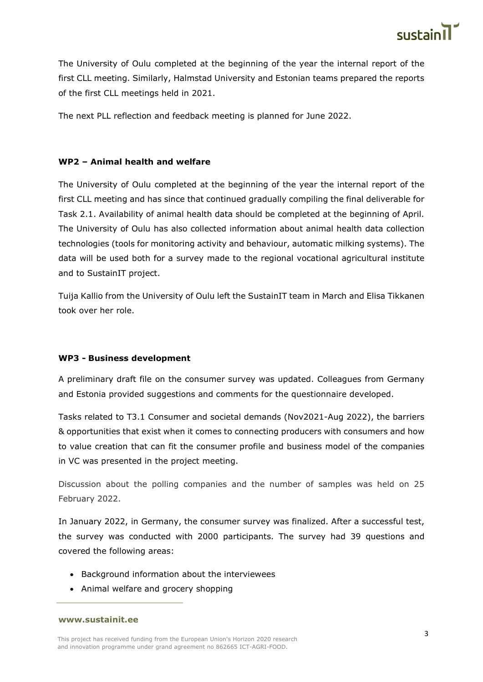

The University of Oulu completed at the beginning of the year the internal report of the first CLL meeting. Similarly, Halmstad University and Estonian teams prepared the reports of the first CLL meetings held in 2021.

The next PLL reflection and feedback meeting is planned for June 2022.

## **WP2 – Animal health and welfare**

The University of Oulu completed at the beginning of the year the internal report of the first CLL meeting and has since that continued gradually compiling the final deliverable for Task 2.1. Availability of animal health data should be completed at the beginning of April. The University of Oulu has also collected information about animal health data collection technologies (tools for monitoring activity and behaviour, automatic milking systems). The data will be used both for a survey made to the regional vocational agricultural institute and to SustainIT project.

Tuija Kallio from the University of Oulu left the SustainIT team in March and Elisa Tikkanen took over her role.

## **WP3 - Business development**

A preliminary draft file on the consumer survey was updated. Colleagues from Germany and Estonia provided suggestions and comments for the questionnaire developed.

Tasks related to T3.1 Consumer and societal demands (Nov2021-Aug 2022), the barriers & opportunities that exist when it comes to connecting producers with consumers and how to value creation that can fit the consumer profile and business model of the companies in VC was presented in the project meeting.

Discussion about the polling companies and the number of samples was held on 25 February 2022.

In January 2022, in Germany, the consumer survey was finalized. After a successful test, the survey was conducted with 2000 participants. The survey had 39 questions and covered the following areas:

- Background information about the interviewees
- Animal welfare and grocery shopping

#### **[www.sustainit.ee](http://www.sustainit.ee/)**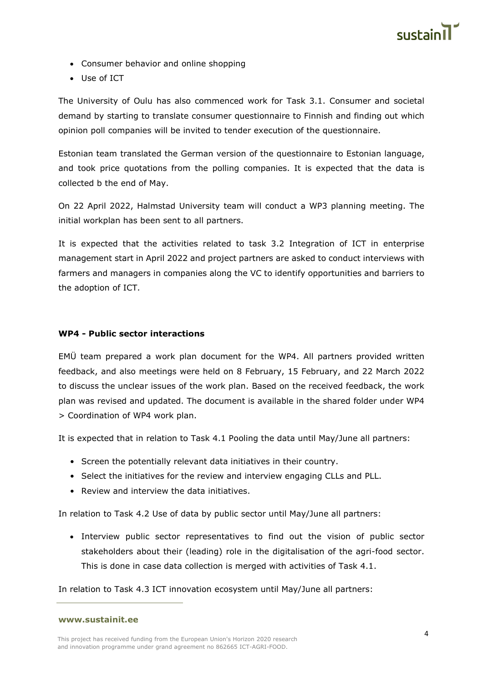

- Consumer behavior and online shopping
- Use of ICT

The University of Oulu has also commenced work for Task 3.1. Consumer and societal demand by starting to translate consumer questionnaire to Finnish and finding out which opinion poll companies will be invited to tender execution of the questionnaire.

Estonian team translated the German version of the questionnaire to Estonian language, and took price quotations from the polling companies. It is expected that the data is collected b the end of May.

On 22 April 2022, Halmstad University team will conduct a WP3 planning meeting. The initial workplan has been sent to all partners.

It is expected that the activities related to task 3.2 Integration of ICT in enterprise management start in April 2022 and project partners are asked to conduct interviews with farmers and managers in companies along the VC to identify opportunities and barriers to the adoption of ICT.

## **WP4 - Public sector interactions**

EMÜ team prepared a work plan document for the WP4. All partners provided written feedback, and also meetings were held on 8 February, 15 February, and 22 March 2022 to discuss the unclear issues of the work plan. Based on the received feedback, the work plan was revised and updated. The document is available in the shared folder under WP4 > Coordination of WP4 work plan.

It is expected that in relation to Task 4.1 Pooling the data until May/June all partners:

- Screen the potentially relevant data initiatives in their country.
- Select the initiatives for the review and interview engaging CLLs and PLL.
- Review and interview the data initiatives.

In relation to Task 4.2 Use of data by public sector until May/June all partners:

• Interview public sector representatives to find out the vision of public sector stakeholders about their (leading) role in the digitalisation of the agri-food sector. This is done in case data collection is merged with activities of Task 4.1.

In relation to Task 4.3 ICT innovation ecosystem until May/June all partners:

**[www.sustainit.ee](http://www.sustainit.ee/)**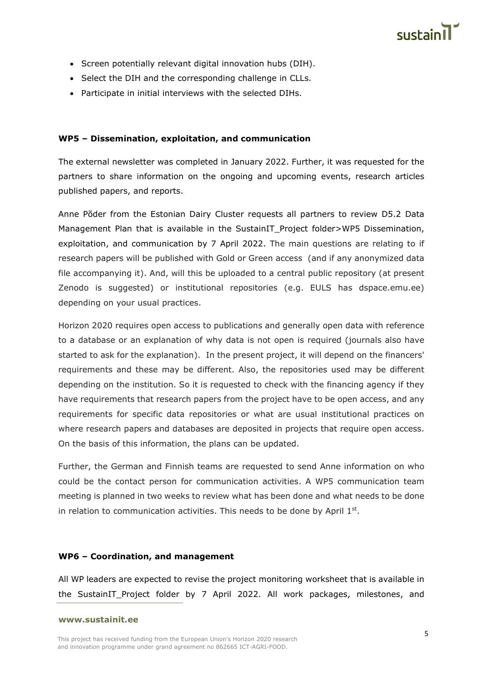

- Screen potentially relevant digital innovation hubs (DIH).
- Select the DIH and the corresponding challenge in CLLs.
- Participate in initial interviews with the selected DIHs.

#### **WP5 – Dissemination, exploitation, and communication**

The external newsletter was completed in January 2022. Further, it was requested for the partners to share information on the ongoing and upcoming events, research articles published papers, and reports.

Anne Põder from the Estonian Dairy Cluster requests all partners to review D5.2 Data Management Plan that is available in the SustainIT Project folder>WP5 Dissemination, exploitation, and communication by 7 April 2022. The main questions are relating to if research papers will be published with Gold or Green access (and if any anonymized data file accompanying it). And, will this be uploaded to a central public repository (at present Zenodo is suggested) or institutional repositories (e.g. EULS has dspace.emu.ee) depending on your usual practices.

Horizon 2020 requires open access to publications and generally open data with reference to a database or an explanation of why data is not open is required (journals also have started to ask for the explanation). In the present project, it will depend on the financers' requirements and these may be different. Also, the repositories used may be different depending on the institution. So it is requested to check with the financing agency if they have requirements that research papers from the project have to be open access, and any requirements for specific data repositories or what are usual institutional practices on where research papers and databases are deposited in projects that require open access. On the basis of this information, the plans can be updated.

Further, the German and Finnish teams are requested to send Anne information on who could be the contact person for communication activities. A WP5 communication team meeting is planned in two weeks to review what has been done and what needs to be done in relation to communication activities. This needs to be done by April  $1<sup>st</sup>$ .

#### **WP6 – Coordination, and management**

All WP leaders are expected to revise the project monitoring worksheet that is available in the SustainIT Project folder by 7 April 2022. All work packages, milestones, and

#### **[www.sustainit.ee](http://www.sustainit.ee/)**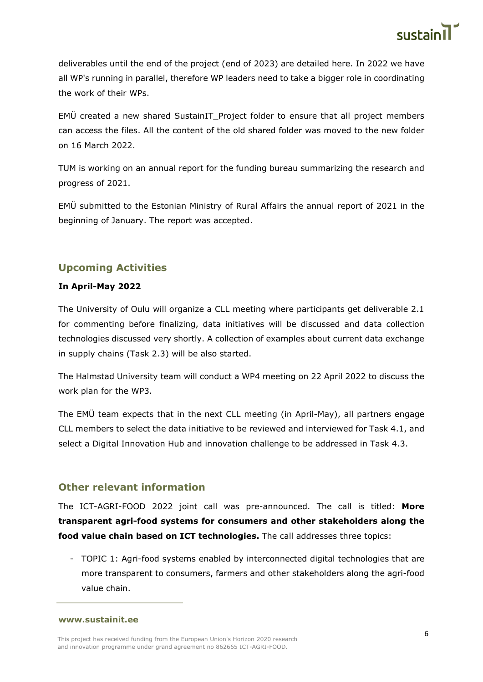

deliverables until the end of the project (end of 2023) are detailed here. In 2022 we have all WP's running in parallel, therefore WP leaders need to take a bigger role in coordinating the work of their WPs.

EMÜ created a new shared SustainIT\_Project folder to ensure that all project members can access the files. All the content of the old shared folder was moved to the new folder on 16 March 2022.

TUM is working on an annual report for the funding bureau summarizing the research and progress of 2021.

EMÜ submitted to the Estonian Ministry of Rural Affairs the annual report of 2021 in the beginning of January. The report was accepted.

# **Upcoming Activities**

## **In April-May 2022**

The University of Oulu will organize a CLL meeting where participants get deliverable 2.1 for commenting before finalizing, data initiatives will be discussed and data collection technologies discussed very shortly. A collection of examples about current data exchange in supply chains (Task 2.3) will be also started.

The Halmstad University team will conduct a WP4 meeting on 22 April 2022 to discuss the work plan for the WP3.

The EMÜ team expects that in the next CLL meeting (in April-May), all partners engage CLL members to select the data initiative to be reviewed and interviewed for Task 4.1, and select a Digital Innovation Hub and innovation challenge to be addressed in Task 4.3.

# **Other relevant information**

The ICT-AGRI-FOOD 2022 joint call was pre-announced. The call is titled: **More transparent agri-food systems for consumers and other stakeholders along the food value chain based on ICT technologies.** The call addresses three topics:

- TOPIC 1: Agri-food systems enabled by interconnected digital technologies that are more transparent to consumers, farmers and other stakeholders along the agri-food value chain.

**[www.sustainit.ee](http://www.sustainit.ee/)**